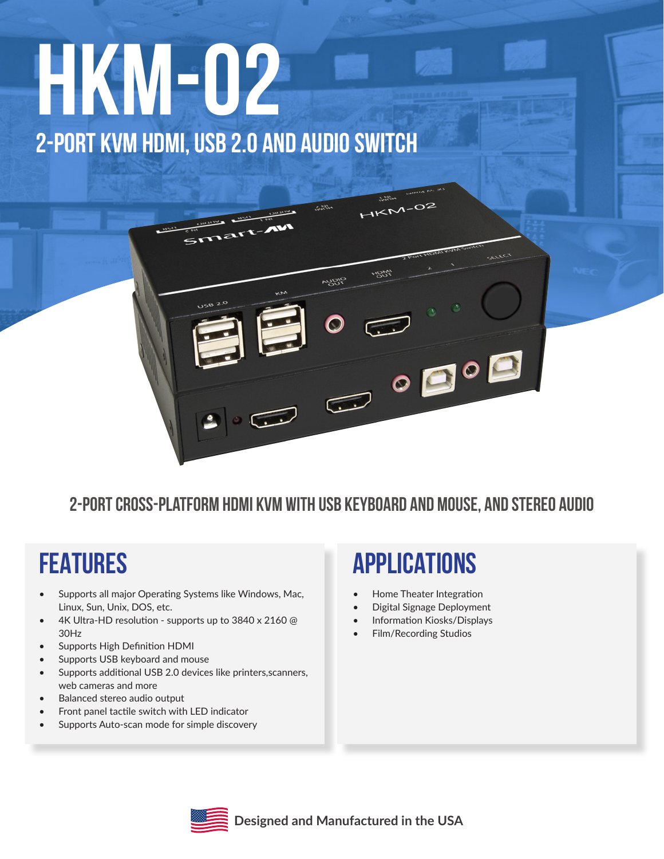# **HKM-02 2-PORT KVM HDMI, USB 2.0 AND AUDIO SWITCH**

 $1582$ 

#### **2-Port Cross-platform HDMI KVM with USB Keyboard and Mouse, and Stereo Audio**

**PUBLE** 

#### **FEATURES**

- Supports all major Operating Systems like Windows, Mac, Linux, Sun, Unix, DOS, etc.
- 4K Ultra-HD resolution supports up to 3840 x 2160 @ 30Hz
- Supports High Definition HDMI
- Supports USB keyboard and mouse
- Supports additional USB 2.0 devices like printers, scanners, web cameras and more
- Balanced stereo audio output
- Front panel tactile switch with LED indicator
- Supports Auto-scan mode for simple discovery

#### **APPLICATIONS**

 $HKN-02$ 

right

- Home Theater Integration
- Digital Signage Deployment
- Information Kiosks/Displays
- Film/Recording Studios



**Designed and Manufactured in the USA**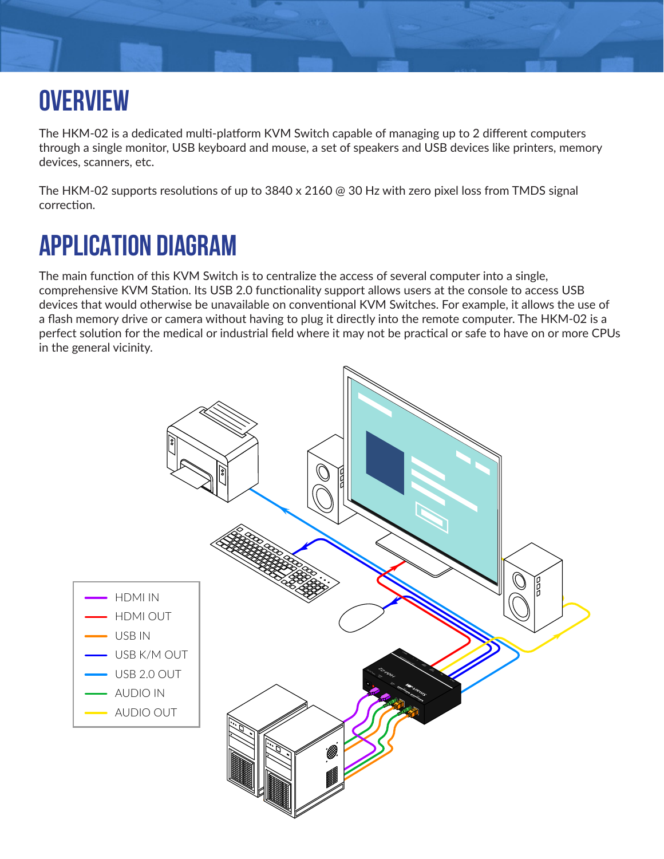## **OVERVIEW**

The HKM-02 is a dedicated multi-platform KVM Switch capable of managing up to 2 different computers through a single monitor, USB keyboard and mouse, a set of speakers and USB devices like printers, memory devices, scanners, etc.

The HKM-02 supports resolutions of up to 3840 x 2160 @ 30 Hz with zero pixel loss from TMDS signal correction.

### **APPLICATION DIAGRAM**

The main function of this KVM Switch is to centralize the access of several computer into a single, comprehensive KVM Station. Its USB 2.0 functionality support allows users at the console to access USB devices that would otherwise be unavailable on conventional KVM Switches. For example, it allows the use of a flash memory drive or camera without having to plug it directly into the remote computer. The HKM-02 is a perfect solution for the medical or industrial field where it may not be practical or safe to have on or more CPUs in the general vicinity.

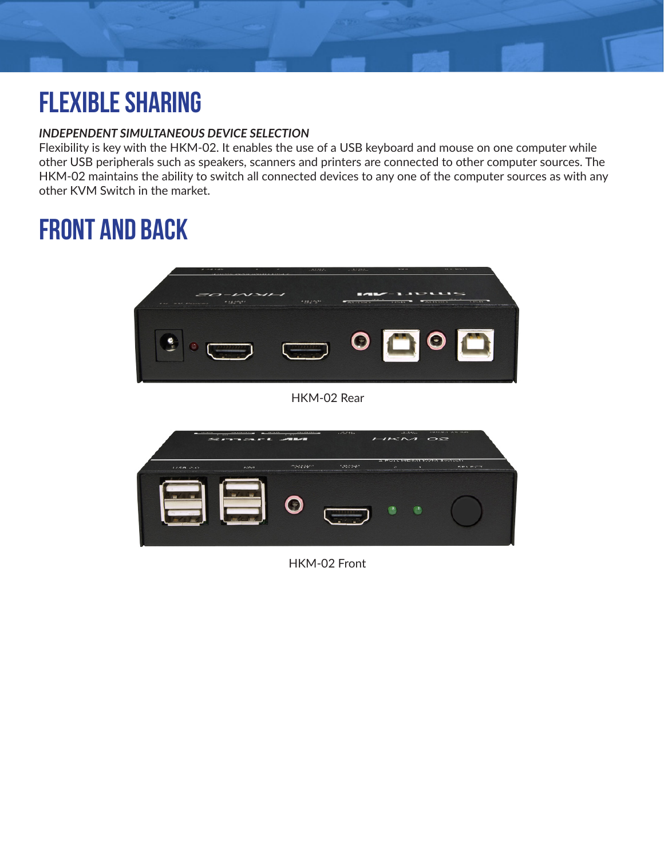## **FLEXIBLE SHARING**

#### *INDEPENDENT SIMULTANEOUS DEVICE SELECTION*

Flexibility is key with the HKM-02. It enables the use of a USB keyboard and mouse on one computer while other USB peripherals such as speakers, scanners and printers are connected to other computer sources. The HKM-02 maintains the ability to switch all connected devices to any one of the computer sources as with any other KVM Switch in the market.

#### **front and back**





HKM-02 Front